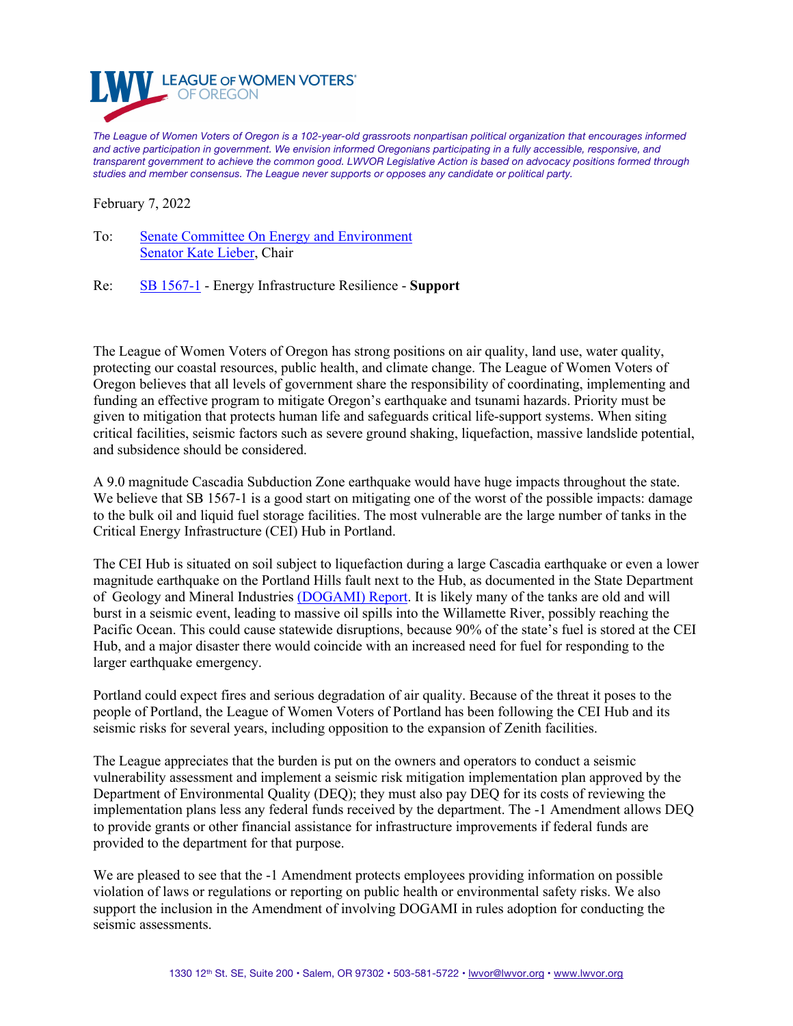

*The League of Women Voters of Oregon is a 102-year-old grassroots nonpartisan political organization that encourages informed and active participation in government. We envision informed Oregonians participating in a fully accessible, responsive, and transparent government to achieve the common good. LWVOR Legislative Action is based on advocacy positions formed through studies and member consensus. The League never supports or opposes any candidate or political party.*

February 7, 2022

To: [Senate Committee On Energy and Environment](http://olis.oregonlegislature.gov/liz/2022R1/Committees/SEE/Overview) [Senator Kate Lieber](https://www.oregonlegislature.gov/lieber), Chair

Re: [SB 1567-1](https://olis.oregonlegislature.gov/liz/2022R1/Measures/Overview/SB1567) - Energy Infrastructure Resilience - **Support**

The League of Women Voters of Oregon has strong positions on air quality, land use, water quality, protecting our coastal resources, public health, and climate change. The League of Women Voters of Oregon believes that all levels of government share the responsibility of coordinating, implementing and funding an effective program to mitigate Oregon's earthquake and tsunami hazards. Priority must be given to mitigation that protects human life and safeguards critical life-support systems. When siting critical facilities, seismic factors such as severe ground shaking, liquefaction, massive landslide potential, and subsidence should be considered.

A 9.0 magnitude Cascadia Subduction Zone earthquake would have huge impacts throughout the state. We believe that SB 1567-1 is a good start on mitigating one of the worst of the possible impacts: damage to the bulk oil and liquid fuel storage facilities. The most vulnerable are the large number of tanks in the Critical Energy Infrastructure (CEI) Hub in Portland.

The CEI Hub is situated on soil subject to liquefaction during a large Cascadia earthquake or even a lower magnitude earthquake on the Portland Hills fault next to the Hub, as documented in the State Department of Geology and Mineral Industries [\(DOGAMI\) Report.](https://www.oregongeology.org/pubs/ofr/p-O-18-02.htm) It is likely many of the tanks are old and will burst in a seismic event, leading to massive oil spills into the Willamette River, possibly reaching the Pacific Ocean. This could cause statewide disruptions, because 90% of the state's fuel is stored at the CEI Hub, and a major disaster there would coincide with an increased need for fuel for responding to the larger earthquake emergency.

Portland could expect fires and serious degradation of air quality. Because of the threat it poses to the people of Portland, the League of Women Voters of Portland has been following the CEI Hub and its seismic risks for several years, including opposition to the expansion of Zenith facilities.

The League appreciates that the burden is put on the owners and operators to conduct a seismic vulnerability assessment and implement a seismic risk mitigation implementation plan approved by the Department of Environmental Quality (DEQ); they must also pay DEQ for its costs of reviewing the implementation plans less any federal funds received by the department. The -1 Amendment allows DEQ to provide grants or other financial assistance for infrastructure improvements if federal funds are provided to the department for that purpose.

We are pleased to see that the -1 Amendment protects employees providing information on possible violation of laws or regulations or reporting on public health or environmental safety risks. We also support the inclusion in the Amendment of involving DOGAMI in rules adoption for conducting the seismic assessments.